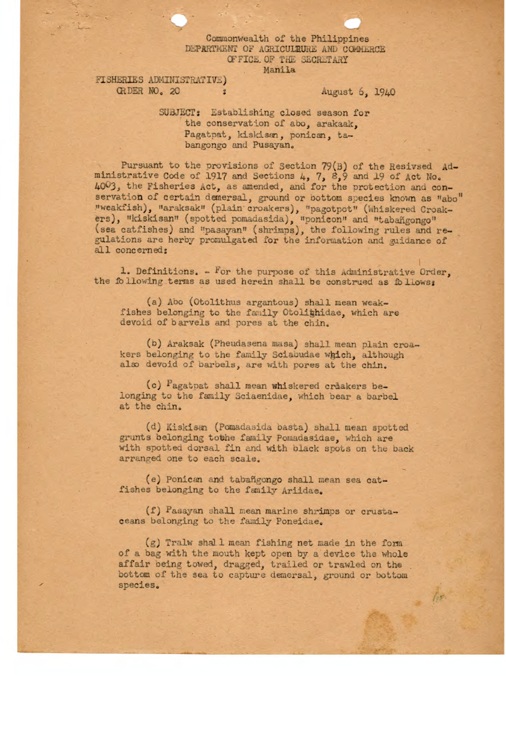## Commonwealth of the Philippines DEPARTMENT OF AGRICULTURE AND COMMERCE OF FICE. OF THE SECRETARY Manila

FISHERIES ADMINISTRATIVE)<br>
CRDER NO. 20 <sup>2</sup> August 6, 1940

he

SUBJECT: Establishing closed season for the conservation of abo, arakaak, Pagatpat, kiskisan, ponican, tabangongo and Pusayan.

Pursuant to the provisions of Section 79(3) of the Resived Administrative Code of 1917 and Sections  $4, 7, 8, 9$  and 19 of Act No. 4003, the Fisheries Act, as amended, and for the protection and conservation of certain demersal, ground or bottom species known as "abo" "weakfish), 'araksak" (plain croakers), pagotpot" (hhiskered Croakers), "kiskisan" (spotted pomadasida), "ponicon" and "tabañgongo" (sea catfishes) and "pasayan" (shrimps), the following rules and regulations are herby promulgated for the information and guidance of all concerned:

1. Definitions. For the purpose of this Administrative *Order,*  the following terms as used herein shall be construed as follows:

(a) Abo (Otolithus argantous) shall mean weakfishes belonging to the family Otolighidae, which are devoid of barvels and pores at the chin.

(o) Araksak (Pheudasena masa) shall mean plain croakers belonging to the family Sciaoudae which, although also devoid of barbels, are with pores at the chin.

*(c) agat pat* shall mean whiskered criakers belonging to the family Sciaenidae, which bear a barbel at the chin.

(d) Kiskisan (Pomadasida basta) shall mean spotted grunts belonging tothe family Pomadasidae, which are with spotted dorsal fin and with black spots on the back arranged one to each scale.

(e) Ponican and tabangongo shall mean sea catfishes belonging to the family Ariidae.

(f) Pasayan shall mean marine shrimps or crustaceans belonging to the family Poneidae.

 $(g)$  Tralw shall mean fishing net made in the form of a bag with the mouth kept open by a device the whole affair being towed, dragged, trailed or trawled on the bottom of the sea to capture demersal, ground or bottom species.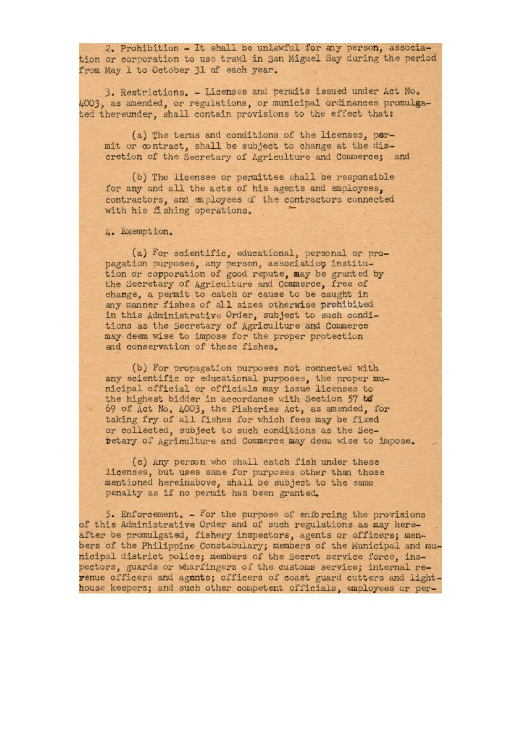2. Prohibition - It shall be unlawful for aay person, association or corporation to use trawl in San Miguel Bay during the period from May 1 to October 31 of each year.

3. Restrictions. - Licenses and permits issued under Act No. 4003, as amended, or regulations, or municipal ordinances promulgated thereunder, shall contain provisions to the effect that:

(a) The terms and conditions of the licenses, permit or contract, shall be subject to change at the discretion of the Secretary of Agriculture and Commerce; and

(b) The licensee or permittee shall be responsible for any and all the acts of his agents and employees, contractors, and employees d' the contractors connected with his fishing operations.

. Exemption.

(a) For scientific, educational, personal or propagation purposes, any person, association institution or copporation of good repute, may be granted by the Secretary of Agriculture and Commerce, free of change, a permit to catch or cause to be caught In any manner fishes of all sizes otherwise prohibited **in** this Administrative Order, subject to such conditiona as the Secretary of Agriculture and Conmerce may deem wise to impose for the proper protection and conservation of these fishes.

(b) For propagation purposes not connected with any scientific or educational purposes, the proper municipal official or officials may issue licenses to the highest bidder in accordance with Section 57 to 69 of Act No. 4003, the Fisheries Act, as amended, for taking fry of all fishes for which fees may be fixed or collected, subject to such conditions as the Secbetary of Agriculture and Commerce may deen wise to impose.

(c) any person who shall catch fish under these licenses, but uses same for purposes other than those mentioned hereinabove, shall be subject to the same penalty as if no permit has been granted.

5. Enforcement.  $-$  for the purpose of enforcing the provisions of this Administrative Order and of such regulations as may hereafter oe promulgated, fishery inspectors, agents or officers; menbers of the Philippine Constabulary; members of the Municipal and municipal district police; members of the Secret service force, inspectors, guards or wharfingers of the customs service; internal revenue officers and agnnts; officers of coast guard cutters and lighthousc keepers; and such other competent officials, employees or per